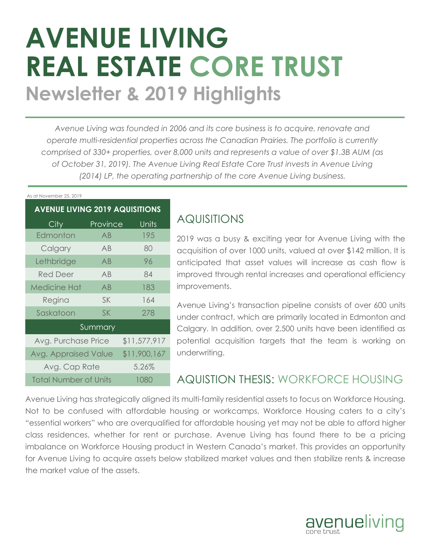## **AVENUE LIVING REAL ESTATE CORE TRUST Newsletter & 2019 Highlights**

*Avenue Living was founded in 2006 and its core business is to acquire, renovate and operate multi-residential properties across the Canadian Prairies. The portfolio is currently comprised of 330+ properties, over 8,000 units and represents a value of over \$1.3B AUM (as of October 31, 2019). The Avenue Living Real Estate Core Trust invests in Avenue Living (2014) LP, the operating partnership of the core Avenue Living business.*

#### As at November 25, 2019

| <b>AVENUE LIVING 2019 AQUISITIONS</b> |           |              |  |  |
|---------------------------------------|-----------|--------------|--|--|
| <b>City</b>                           | Province  | Units        |  |  |
| Edmonton                              | AB        | 195          |  |  |
| Calgary                               | AB        | 80           |  |  |
| Lethbridge                            | AB        | 96           |  |  |
| <b>Red Deer</b>                       | AB        | 84           |  |  |
| <b>Medicine Hat</b>                   | AB        | 183          |  |  |
| Regina                                | <b>SK</b> | 164          |  |  |
| Saskatoon                             | SK        | 278          |  |  |
| Summary                               |           |              |  |  |
| Avg. Purchase Price                   |           | \$11,577,917 |  |  |
| Avg. Appraised Value                  |           | \$11,900,167 |  |  |
| Avg. Cap Rate                         |           | 5.26%        |  |  |
| <b>Total Number of Units</b>          |           | 1080         |  |  |

#### AQUISITIONS

2019 was a busy & exciting year for Avenue Living with the acquisition of over 1000 units, valued at over \$142 million. It is anticipated that asset values will increase as cash flow is improved through rental increases and operational efficiency improvements.

Avenue Living's transaction pipeline consists of over 600 units under contract, which are primarily located in Edmonton and Calgary. In addition, over 2,500 units have been identified as potential acquisition targets that the team is working on underwriting.

#### AQUISTION THESIS: WORKFORCE HOUSING

Avenue Living has strategically aligned its multi-family residential assets to focus on Workforce Housing. Not to be confused with affordable housing or workcamps, Workforce Housing caters to a city's "essential workers" who are overqualified for affordable housing yet may not be able to afford higher class residences, whether for rent or purchase. Avenue Living has found there to be a pricing imbalance on Workforce Housing product in Western Canada's market. This provides an opportunity for Avenue Living to acquire assets below stabilized market values and then stabilize rents & increase the market value of the assets.

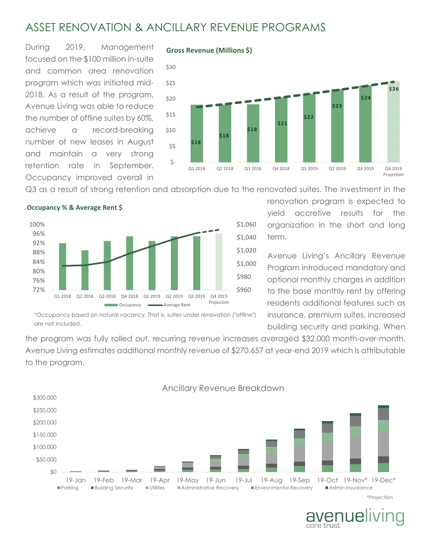## ASSET RENOVATION & ANCILLARY REVENUE PROGRAMS

During 2019, Management focused on the \$100 million in-suite and common area renovation program which was initiated mid-2018. As a result of the program, Avenue Living was able to reduce the number of offline suites by 60%, achieve a record-breaking number of new leases in August and maintain a very strong retention rate in September. Occupancy improved overall in





Q3 as a result of strong retention and absorption due to the renovated suites. The investment in the



#### **Occupancy % & Average Rent \$**

\*Occupancy based on natural vacancy. That is, suites under renovation ("offline") are not included.

renovation program is expected to yield accretive results for the organization in the short and long term.

Avenue Living's Ancillary Revenue Program introduced mandatory and optional monthly charges in addition to the base monthly rent by offering residents additional features such as insurance, premium suites, increased building security and parking. When

the program was fully rolled out, recurring revenue increases averaged \$32,000 month-over-month. Avenue Living estimates additional monthly revenue of \$270,657 at year-end 2019 which is attributable to the program.



Ancillary Revenue Breakdown

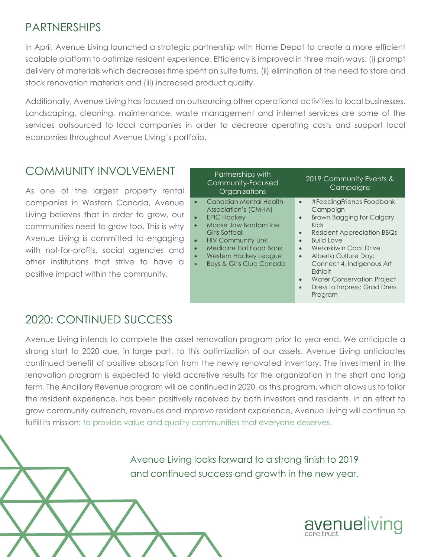## PARTNERSHIPS

In April, Avenue Living launched a strategic partnership with Home Depot to create a more efficient scalable platform to optimize resident experience. Efficiency is improved in three main ways: (i) prompt delivery of materials which decreases time spent on suite turns, (ii) elimination of the need to store and stock renovation materials and (iii) increased product quality.

Additionally, Avenue Living has focused on outsourcing other operational activities to local businesses. Landscaping, cleaning, maintenance, waste management and internet services are some of the services outsourced to local companies in order to decrease operating costs and support local economies throughout Avenue Living's portfolio.

## COMMUNITY INVOLVEMENT

As one of the largest property rental companies in Western Canada, Avenue Living believes that in order to grow, our communities need to grow too. This is why Avenue Living is committed to engaging with not-for-profits, social agencies and other institutions that strive to have a positive impact within the community.

|                                                               | Partnerships with<br>Community-Focused<br>Organizations                                                                                                                                                                                      | 2019 Community Events &<br>Campaigns                                                                                                                                                                                                                                                                                                   |
|---------------------------------------------------------------|----------------------------------------------------------------------------------------------------------------------------------------------------------------------------------------------------------------------------------------------|----------------------------------------------------------------------------------------------------------------------------------------------------------------------------------------------------------------------------------------------------------------------------------------------------------------------------------------|
| $\bullet$<br>$\bullet$<br>$\bullet$<br>$\bullet$<br>$\bullet$ | Canadian Mental Health<br><b>Association's (CMHA)</b><br><b>EPIC Hockey</b><br>Moose Jaw Bantam Ice<br>Girls Softball<br><b>HIV Community Link</b><br>Medicine Hat Food Bank<br>Western Hockey League<br><b>Boys &amp; Girls Club Canada</b> | #FeedingFriends Foodbank<br>Campaign<br><b>Brown Bagging for Calgary</b><br>Kids<br>Resident Appreciation BBQs<br><b>Build Love</b><br>Wetaskiwin Coat Drive<br>$\bullet$<br>Alberta Culture Day:<br>$\bullet$<br>Connect 4, Indigenous Art<br>Exhibit<br><b>Water Conservation Project</b><br>Dress to Impress: Grad Dress<br>Program |

## 2020: CONTINUED SUCCESS

Avenue Living intends to complete the asset renovation program prior to year-end. We anticipate a strong start to 2020 due, in large part, to this optimization of our assets. Avenue Living anticipates continued benefit of positive absorption from the newly renovated inventory. The investment in the renovation program is expected to yield accretive results for the organization in the short and long term. The Ancillary Revenue program will be continued in 2020, as this program, which allows us to tailor the resident experience, has been positively received by both investors and residents. In an effort to grow community outreach, revenues and improve resident experience, Avenue Living will continue to fulfill its mission: to provide value and quality communities that everyone deserves.

> Avenue Living looks forward to a strong finish to 2019 and continued success and growth in the new year.